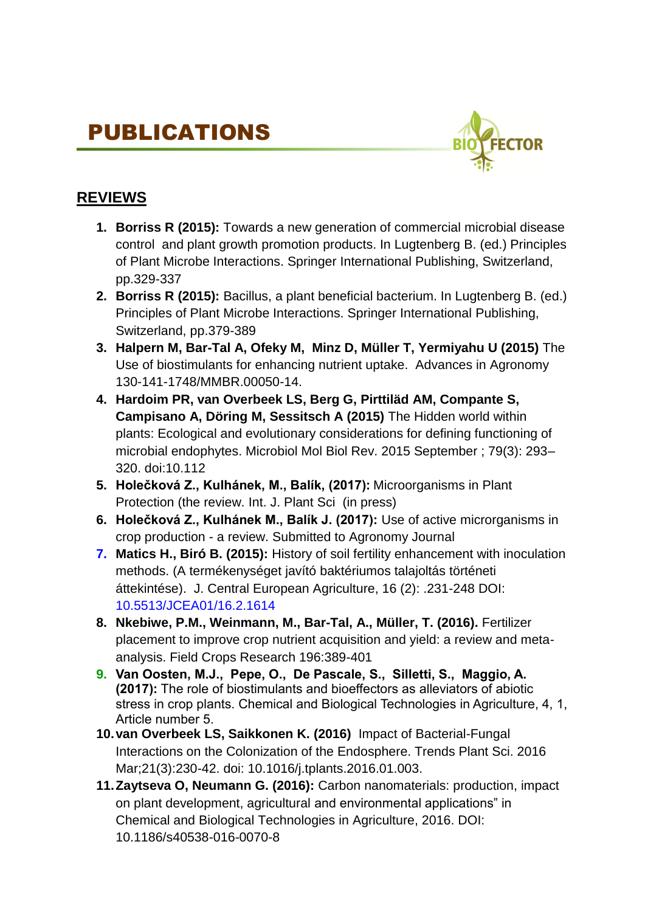# PUBLICATIONS



## **REVIEWS**

- **1. Borriss R (2015):** Towards a new generation of commercial microbial disease control and plant growth promotion products. In Lugtenberg B. (ed.) Principles of Plant Microbe Interactions. Springer International Publishing, Switzerland, pp.329-337
- **2. Borriss R (2015):** Bacillus, a plant beneficial bacterium. In Lugtenberg B. (ed.) Principles of Plant Microbe Interactions. Springer International Publishing, Switzerland, pp.379-389
- **3. Halpern M, Bar-Tal A, Ofeky M, Minz D, Müller T, Yermiyahu U (2015)** The Use of biostimulants for enhancing nutrient uptake. Advances in Agronomy 130-141-1748/MMBR.00050-14.
- **4. Hardoim PR, van Overbeek LS, Berg G, Pirttiläd AM, Compante S, Campisano A, Döring M, Sessitsch A (2015)** The Hidden world within plants: Ecological and evolutionary considerations for defining functioning of microbial endophytes. Microbiol Mol Biol Rev. 2015 September ; 79(3): 293– 320. doi:10.112
- **5. Holečková Z., Kulhánek, M., Balík, (2017):** Microorganisms in Plant Protection (the review. Int. J. Plant Sci (in press)
- **6. Holečková Z., Kulhánek M., Balík J. (2017):** Use of active microrganisms in crop production - a review. Submitted to Agronomy Journal
- **7. Matics H., Biró B. (2015):** History of soil fertility enhancement with inoculation methods. (A termékenységet javító baktériumos talajoltás történeti áttekintése). J. Central European Agriculture, 16 (2): .231-248 DOI: 10.5513/JCEA01/16.2.1614
- **8. Nkebiwe, P.M., Weinmann, M., Bar-Tal, A., Müller, T. (2016).** Fertilizer placement to improve crop nutrient acquisition and yield: a review and metaanalysis. Field Crops Research 196:389-401
- **9. Van Oosten, M.J., Pepe, O., De Pascale, S., Silletti, S., Maggio, A. (2017):** The role of biostimulants and bioeffectors as alleviators of abiotic stress in crop plants. Chemical and Biological Technologies in Agriculture, 4, 1, Article number 5.
- **10.van Overbeek LS, Saikkonen K. (2016)** Impact of Bacterial-Fungal Interactions on the Colonization of the Endosphere. Trends Plant Sci. 2016 Mar;21(3):230-42. doi: 10.1016/j.tplants.2016.01.003.
- **11.Zaytseva O, Neumann G. (2016):** Carbon nanomaterials: production, impact on plant development, agricultural and environmental applications" in Chemical and Biological Technologies in Agriculture, 2016. DOI: 10.1186/s40538-016-0070-8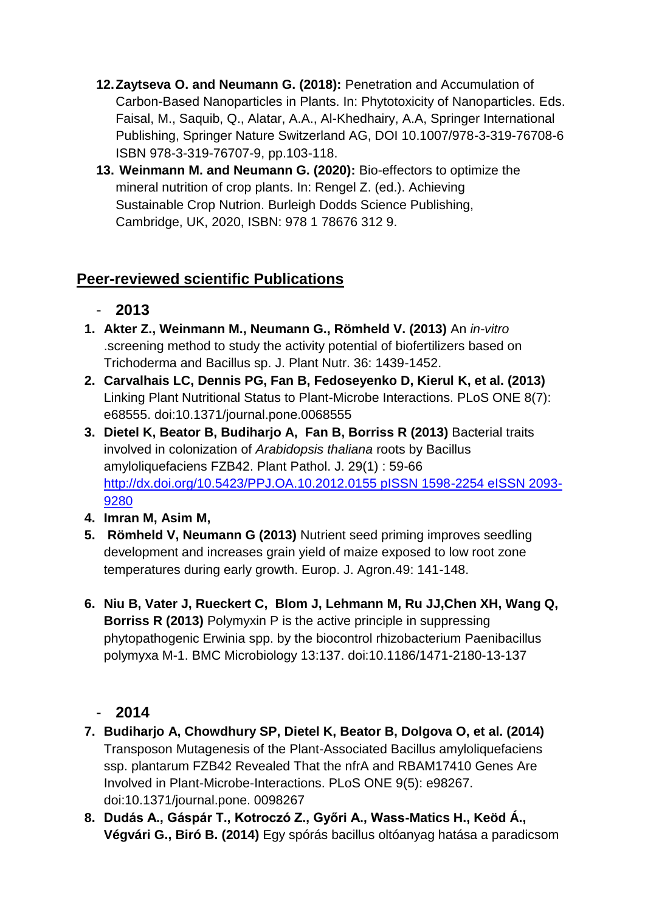- **12.Zaytseva O. and Neumann G. (2018):** Penetration and Accumulation of Carbon-Based Nanoparticles in Plants. In: Phytotoxicity of Nanoparticles. Eds. Faisal, M., Saquib, Q., Alatar, A.A., Al-Khedhairy, A.A, Springer International Publishing, Springer Nature Switzerland AG, DOI 10.1007/978-3-319-76708-6 ISBN 978-3-319-76707-9, pp.103-118.
- **13. Weinmann M. and Neumann G. (2020):** Bio-effectors to optimize the mineral nutrition of crop plants. In: Rengel Z. (ed.). Achieving Sustainable Crop Nutrion. Burleigh Dodds Science Publishing, Cambridge, UK, 2020, ISBN: 978 1 78676 312 9.

## **Peer-reviewed scientific Publications**

- **2013**
- **1. Akter Z., Weinmann M., Neumann G., Römheld V. (2013)** An *in-vitro* .screening method to study the activity potential of biofertilizers based on Trichoderma and Bacillus sp. J. Plant Nutr. 36: 1439-1452.
- **2. Carvalhais LC, Dennis PG, Fan B, Fedoseyenko D, Kierul K, et al. (2013)** Linking Plant Nutritional Status to Plant-Microbe Interactions. PLoS ONE 8(7): e68555. doi:10.1371/journal.pone.0068555
- **3. Dietel K, Beator B, Budiharjo A, Fan B, Borriss R (2013)** Bacterial traits involved in colonization of *Arabidopsis thaliana* roots by Bacillus amyloliquefaciens FZB42. Plant Pathol. J. 29(1) : 59-66 [http://dx.doi.org/10.5423/PPJ.OA.10.2012.0155 pISSN 1598-2254 eISSN 2093-](http://dx.doi.org/10.5423/PPJ.OA.10.2012.0155%20pISSN%201598-2254%20eISSN%202093-9280) [9280](http://dx.doi.org/10.5423/PPJ.OA.10.2012.0155%20pISSN%201598-2254%20eISSN%202093-9280)
- **4. Imran M, Asim M,**
- **5. Römheld V, Neumann G (2013)** Nutrient seed priming improves seedling development and increases grain yield of maize exposed to low root zone temperatures during early growth. Europ. J. Agron.49: 141-148.
- **6. Niu B, Vater J, Rueckert C, Blom J, Lehmann M, Ru JJ,Chen XH, Wang Q, Borriss R (2013)** Polymyxin P is the active principle in suppressing phytopathogenic Erwinia spp. by the biocontrol rhizobacterium Paenibacillus polymyxa M-1. BMC Microbiology 13:137. doi:10.1186/1471-2180-13-137

- **7. Budiharjo A, Chowdhury SP, Dietel K, Beator B, Dolgova O, et al. (2014)** Transposon Mutagenesis of the Plant-Associated Bacillus amyloliquefaciens ssp. plantarum FZB42 Revealed That the nfrA and RBAM17410 Genes Are Involved in Plant-Microbe-Interactions. PLoS ONE 9(5): e98267. doi:10.1371/journal.pone. 0098267
- **8. Dudás A., Gáspár T., Kotroczó Z., Győri A., Wass-Matics H., Keöd Á., Végvári G., Biró B. (2014)** Egy spórás bacillus oltóanyag hatása a paradicsom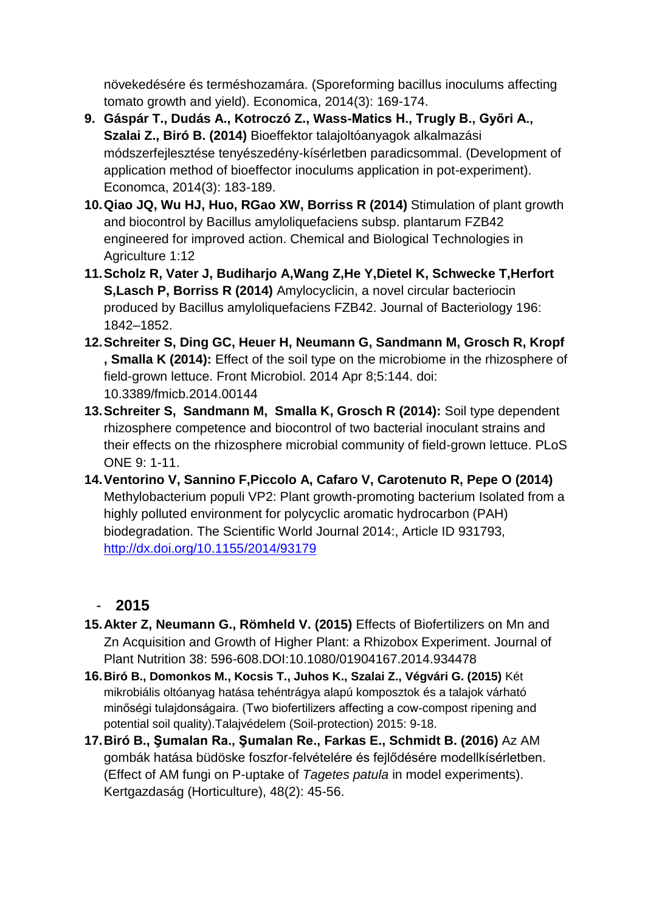növekedésére és terméshozamára. (Sporeforming bacillus inoculums affecting tomato growth and yield). Economica, 2014(3): 169-174.

- **9. Gáspár T., Dudás A., Kotroczó Z., Wass-Matics H., Trugly B., Győri A., Szalai Z., Biró B. (2014)** Bioeffektor talajoltóanyagok alkalmazási módszerfejlesztése tenyészedény-kísérletben paradicsommal. (Development of application method of bioeffector inoculums application in pot-experiment). Economca, 2014(3): 183-189.
- **10.Qiao JQ, Wu HJ, Huo, RGao XW, Borriss R (2014)** Stimulation of plant growth and biocontrol by Bacillus amyloliquefaciens subsp. plantarum FZB42 engineered for improved action. Chemical and Biological Technologies in Agriculture 1:12
- **11.Scholz R, Vater J, Budiharjo A,Wang Z,He Y,Dietel K, Schwecke T,Herfort S,Lasch P, Borriss R (2014)** Amylocyclicin, a novel circular bacteriocin produced by Bacillus amyloliquefaciens FZB42. Journal of Bacteriology 196: 1842–1852.
- **12.Schreiter S, Ding GC, Heuer H, Neumann G, Sandmann M, Grosch R, Kropf , Smalla K (2014):** Effect of the soil type on the microbiome in the rhizosphere of field-grown lettuce. Front Microbiol. 2014 Apr 8;5:144. doi: 10.3389/fmicb.2014.00144
- **13.Schreiter S, Sandmann M, Smalla K, Grosch R (2014):** Soil type dependent rhizosphere competence and biocontrol of two bacterial inoculant strains and their effects on the rhizosphere microbial community of field-grown lettuce. PLoS ONE 9: 1-11.
- **14.Ventorino V, Sannino F,Piccolo A, Cafaro V, Carotenuto R, Pepe O (2014)** Methylobacterium populi VP2: Plant growth-promoting bacterium Isolated from a highly polluted environment for polycyclic aromatic hydrocarbon (PAH) biodegradation. The Scientific World Journal 2014:, Article ID 931793, <http://dx.doi.org/10.1155/2014/93179>

- **15.Akter Z, Neumann G., Römheld V. (2015)** Effects of Biofertilizers on Mn and Zn Acquisition and Growth of Higher Plant: a Rhizobox Experiment. Journal of Plant Nutrition 38: 596-608.DOI:10.1080/01904167.2014.934478
- **16.Biró B., Domonkos M., Kocsis T., Juhos K., Szalai Z., Végvári G. (2015)** Két mikrobiális oltóanyag hatása tehéntrágya alapú komposztok és a talajok várható minőségi tulajdonságaira. (Two biofertilizers affecting a cow-compost ripening and potential soil quality).Talajvédelem (Soil-protection) 2015: 9-18.
- **17.Biró B., Şumalan Ra., Şumalan Re., Farkas E., Schmidt B. (2016)** Az AM gombák hatása büdöske foszfor-felvételére és fejlődésére modellkísérletben. (Effect of AM fungi on P-uptake of *Tagetes patula* in model experiments). Kertgazdaság (Horticulture), 48(2): 45-56.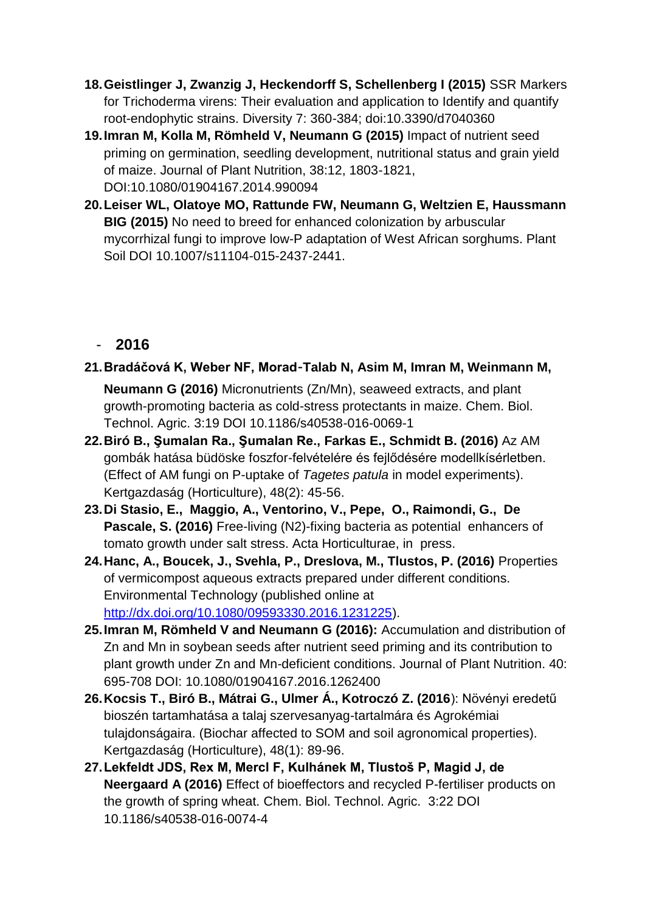- **18.Geistlinger J, Zwanzig J, Heckendorff S, Schellenberg I (2015)** SSR Markers for Trichoderma virens: Their evaluation and application to Identify and quantify root-endophytic strains. Diversity 7: 360-384; doi:10.3390/d7040360
- **19.Imran M, Kolla M, Römheld V, Neumann G (2015)** Impact of nutrient seed priming on germination, seedling development, nutritional status and grain yield of maize. Journal of Plant Nutrition, 38:12, 1803-1821, DOI:10.1080/01904167.2014.990094
- **20.Leiser WL, Olatoye MO, Rattunde FW, Neumann G, Weltzien E, Haussmann BIG (2015)** No need to breed for enhanced colonization by arbuscular mycorrhizal fungi to improve low-P adaptation of West African sorghums. Plant Soil DOI 10.1007/s11104-015-2437-2441.

#### - **2016**

#### **21.Bradáčová K, Weber NF, Morad‑Talab N, Asim M, Imran M, Weinmann M,**

**Neumann G (2016)** Micronutrients (Zn/Mn), seaweed extracts, and plant growth-promoting bacteria as cold-stress protectants in maize. Chem. Biol. Technol. Agric. 3:19 DOI 10.1186/s40538-016-0069-1

- **22.Biró B., Şumalan Ra., Şumalan Re., Farkas E., Schmidt B. (2016)** Az AM gombák hatása büdöske foszfor-felvételére és fejlődésére modellkísérletben. (Effect of AM fungi on P-uptake of *Tagetes patula* in model experiments). Kertgazdaság (Horticulture), 48(2): 45-56.
- **23.Di Stasio, E., Maggio, A., Ventorino, V., Pepe, O., Raimondi, G., De Pascale, S. (2016)** Free-living (N2)-fixing bacteria as potential enhancers of tomato growth under salt stress. Acta Horticulturae, in press.
- **24.Hanc, A., Boucek, J., Svehla, P., Dreslova, M., Tlustos, P. (2016)** Properties of vermicompost aqueous extracts prepared under different conditions. Environmental Technology (published online at [http://dx.doi.org/10.1080/09593330.2016.1231225\)](http://dx.doi.org/10.1080/09593330.2016.1231225).
- **25.Imran M, Römheld V and Neumann G (2016):** Accumulation and distribution of Zn and Mn in soybean seeds after nutrient seed priming and its contribution to plant growth under Zn and Mn-deficient conditions. Journal of Plant Nutrition. 40: 695-708 DOI: 10.1080/01904167.2016.1262400
- **26.Kocsis T., Biró B., Mátrai G., Ulmer Á., Kotroczó Z. (2016**): Növényi eredetű bioszén tartamhatása a talaj szervesanyag-tartalmára és Agrokémiai tulajdonságaira. (Biochar affected to SOM and soil agronomical properties). Kertgazdaság (Horticulture), 48(1): 89-96.
- **27.Lekfeldt JDS, Rex M, Mercl F, Kulhánek M, Tlustoš P, Magid J, de Neergaard A (2016)** Effect of bioeffectors and recycled P-fertiliser products on the growth of spring wheat. Chem. Biol. Technol. Agric. 3:22 DOI 10.1186/s40538-016-0074-4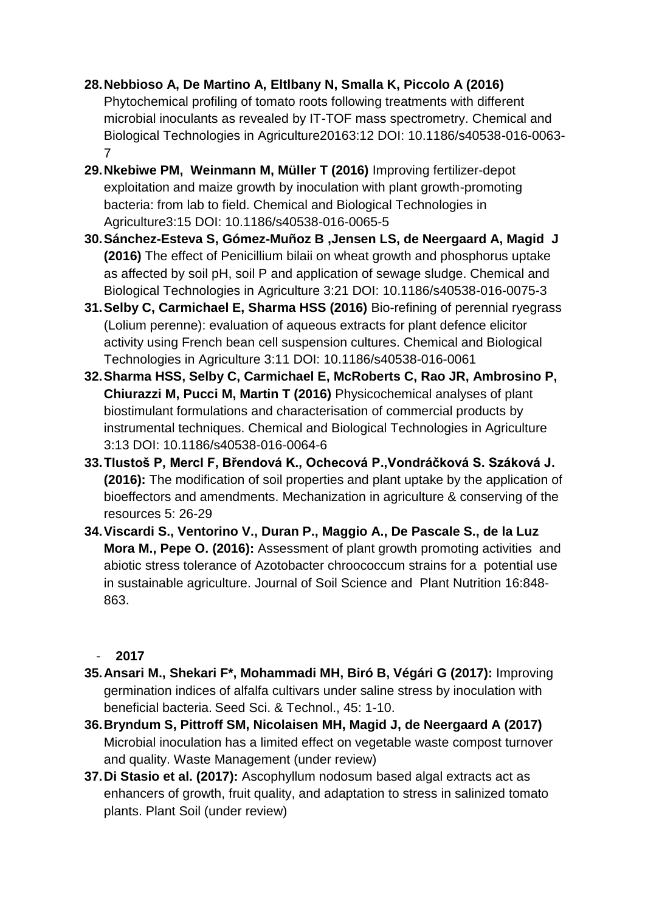#### **28.Nebbioso A, De Martino A, Eltlbany N, Smalla K, Piccolo A (2016)** Phytochemical profiling of tomato roots following treatments with different microbial inoculants as revealed by IT-TOF mass spectrometry. Chemical and Biological Technologies in Agriculture20163:12 DOI: 10.1186/s40538-016-0063- 7

- **29.Nkebiwe PM, Weinmann M, Müller T (2016)** Improving fertilizer-depot exploitation and maize growth by inoculation with plant growth-promoting bacteria: from lab to field. Chemical and Biological Technologies in Agriculture3:15 DOI: 10.1186/s40538-016-0065-5
- **30.Sánchez-Esteva S, Gómez-Muñoz B ,Jensen LS, de Neergaard A, Magid J (2016)** The effect of Penicillium bilaii on wheat growth and phosphorus uptake as affected by soil pH, soil P and application of sewage sludge. Chemical and Biological Technologies in Agriculture 3:21 DOI: 10.1186/s40538-016-0075-3
- **31.Selby C, Carmichael E, Sharma HSS (2016)** Bio-refining of perennial ryegrass (Lolium perenne): evaluation of aqueous extracts for plant defence elicitor activity using French bean cell suspension cultures. Chemical and Biological Technologies in Agriculture 3:11 DOI: 10.1186/s40538-016-0061
- **32.Sharma HSS, Selby C, Carmichael E, McRoberts C, Rao JR, Ambrosino P, Chiurazzi M, Pucci M, Martin T (2016)** Physicochemical analyses of plant biostimulant formulations and characterisation of commercial products by instrumental techniques. Chemical and Biological Technologies in Agriculture 3:13 DOI: 10.1186/s40538-016-0064-6
- **33.Tlustoš P, Mercl F, Břendová K., Ochecová P.,Vondráčková S. Száková J. (2016):** The modification of soil properties and plant uptake by the application of bioeffectors and amendments. Mechanization in agriculture & conserving of the resources 5: 26-29
- **34.Viscardi S., Ventorino V., Duran P., Maggio A., De Pascale S., de la Luz Mora M., Pepe O. (2016):** Assessment of plant growth promoting activities and abiotic stress tolerance of Azotobacter chroococcum strains for a potential use in sustainable agriculture. Journal of Soil Science and Plant Nutrition 16:848- 863.

- **35.Ansari M., Shekari F\*, Mohammadi MH, Biró B, Végári G (2017):** Improving germination indices of alfalfa cultivars under saline stress by inoculation with beneficial bacteria. Seed Sci. & Technol., 45: 1-10.
- **36.Bryndum S, Pittroff SM, Nicolaisen MH, Magid J, de Neergaard A (2017)** Microbial inoculation has a limited effect on vegetable waste compost turnover and quality. Waste Management (under review)
- **37.Di Stasio et al. (2017):** Ascophyllum nodosum based algal extracts act as enhancers of growth, fruit quality, and adaptation to stress in salinized tomato plants. Plant Soil (under review)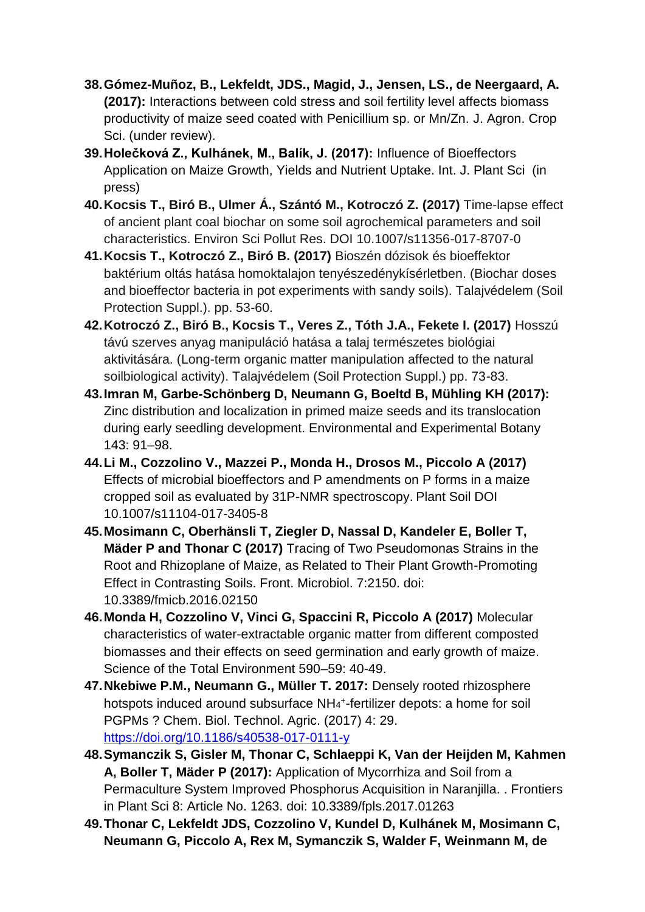- **38.Gómez-Muñoz, B., Lekfeldt, JDS., Magid, J., Jensen, LS., de Neergaard, A. (2017):** Interactions between cold stress and soil fertility level affects biomass productivity of maize seed coated with Penicillium sp. or Mn/Zn. J. Agron. Crop Sci. (under review).
- **39.Holečková Z., Kulhánek, M., Balík, J. (2017):** Influence of Bioeffectors Application on Maize Growth, Yields and Nutrient Uptake. Int. J. Plant Sci (in press)
- **40.Kocsis T., Biró B., Ulmer Á., Szántó M., Kotroczó Z. (2017)** Time-lapse effect of ancient plant coal biochar on some soil agrochemical parameters and soil characteristics. Environ Sci Pollut Res. DOI 10.1007/s11356-017-8707-0
- **41.Kocsis T., Kotroczó Z., Biró B. (2017)** Bioszén dózisok és bioeffektor baktérium oltás hatása homoktalajon tenyészedénykísérletben. (Biochar doses and bioeffector bacteria in pot experiments with sandy soils). Talajvédelem (Soil Protection Suppl.). pp. 53-60.
- **42.Kotroczó Z., Biró B., Kocsis T., Veres Z., Tóth J.A., Fekete I. (2017)** Hosszú távú szerves anyag manipuláció hatása a talaj természetes biológiai aktivitására. (Long-term organic matter manipulation affected to the natural soilbiological activity). Talajvédelem (Soil Protection Suppl.) pp. 73-83.
- **43.Imran M, Garbe-Schönberg D, Neumann G, Boeltd B, Mühling KH (2017):**  Zinc distribution and localization in primed maize seeds and its translocation during early seedling development. Environmental and Experimental Botany 143: 91–98.
- **44.Li M., Cozzolino V., Mazzei P., Monda H., Drosos M., Piccolo A (2017)** Effects of microbial bioeffectors and P amendments on P forms in a maize cropped soil as evaluated by 31P-NMR spectroscopy. Plant Soil DOI 10.1007/s11104-017-3405-8
- **45.Mosimann C, Oberhänsli T, Ziegler D, Nassal D, Kandeler E, Boller T, Mäder P and Thonar C (2017)** Tracing of Two Pseudomonas Strains in the Root and Rhizoplane of Maize, as Related to Their Plant Growth-Promoting Effect in Contrasting Soils. Front. Microbiol. 7:2150. doi: 10.3389/fmicb.2016.02150
- **46.Monda H, Cozzolino V, Vinci G, Spaccini R, Piccolo A (2017)** Molecular characteristics of water-extractable organic matter from different composted biomasses and their effects on seed germination and early growth of maize. Science of the Total Environment 590–59: 40-49.
- **47.Nkebiwe P.M., Neumann G., Müller T. 2017:** Densely rooted rhizosphere hotspots induced around subsurface NH<sub>4</sub><sup>+</sup>-fertilizer depots: a home for soil PGPMs ? Chem. Biol. Technol. Agric. (2017) 4: 29. <https://doi.org/10.1186/s40538-017-0111-y>
- **48.Symanczik S, Gisler M, Thonar C, Schlaeppi K, Van der Heijden M, Kahmen A, Boller T, Mäder P (2017):** Application of Mycorrhiza and Soil from a Permaculture System Improved Phosphorus Acquisition in Naranjilla. . Frontiers in Plant Sci 8: Article No. 1263. doi: 10.3389/fpls.2017.01263
- **49.Thonar C, Lekfeldt JDS, Cozzolino V, Kundel D, Kulhánek M, Mosimann C, Neumann G, Piccolo A, Rex M, Symanczik S, Walder F, Weinmann M, de**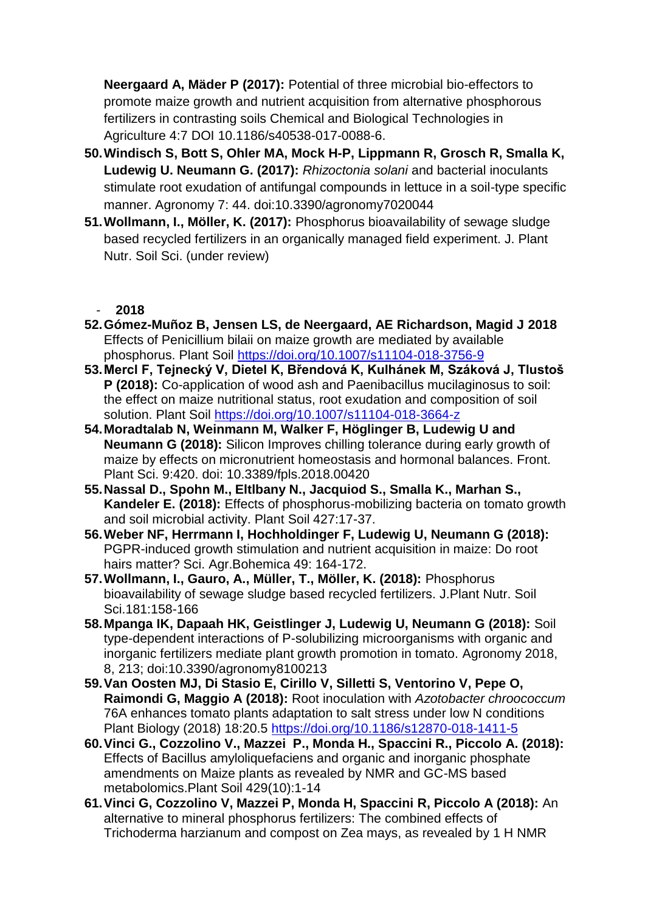**Neergaard A, Mäder P (2017):** Potential of three microbial bio-effectors to promote maize growth and nutrient acquisition from alternative phosphorous fertilizers in contrasting soils Chemical and Biological Technologies in Agriculture 4:7 DOI 10.1186/s40538-017-0088-6.

- **50.Windisch S, Bott S, Ohler MA, Mock H-P, Lippmann R, Grosch R, Smalla K, Ludewig U. Neumann G. (2017):** *Rhizoctonia solani* and bacterial inoculants stimulate root exudation of antifungal compounds in lettuce in a soil-type specific manner. Agronomy 7: 44. doi:10.3390/agronomy7020044
- **51.Wollmann, I., Möller, K. (2017):** Phosphorus bioavailability of sewage sludge based recycled fertilizers in an organically managed field experiment. J. Plant Nutr. Soil Sci. (under review)

- **52.Gómez-Muñoz B, Jensen LS, de Neergaard, AE Richardson, Magid J 2018**  Effects of Penicillium bilaii on maize growth are mediated by available phosphorus. Plant Soil<https://doi.org/10.1007/s11104-018-3756-9>
- **53.Mercl F, Tejnecký V, Dietel K, Břendová K, Kulhánek M, Száková J, Tlustoš P (2018):** Co-application of wood ash and Paenibacillus mucilaginosus to soil: the effect on maize nutritional status, root exudation and composition of soil solution. Plant Soil<https://doi.org/10.1007/s11104-018-3664-z>
- **54.Moradtalab N, Weinmann M, Walker F, Höglinger B, Ludewig U and Neumann G (2018):** Silicon Improves chilling tolerance during early growth of maize by effects on micronutrient homeostasis and hormonal balances. Front. Plant Sci. 9:420. doi: 10.3389/fpls.2018.00420
- **55.Nassal D., Spohn M., Eltlbany N., Jacquiod S., Smalla K., Marhan S., Kandeler E. (2018):** Effects of phosphorus-mobilizing bacteria on tomato growth and soil microbial activity. Plant Soil 427:17-37.
- **56.Weber NF, Herrmann I, Hochholdinger F, Ludewig U, Neumann G (2018):** PGPR-induced growth stimulation and nutrient acquisition in maize: Do root hairs matter? Sci. Agr.Bohemica 49: 164-172.
- **57.Wollmann, I., Gauro, A., Müller, T., Möller, K. (2018):** Phosphorus bioavailability of sewage sludge based recycled fertilizers. J.Plant Nutr. Soil Sci.181:158-166
- **58.Mpanga IK, Dapaah HK, Geistlinger J, Ludewig U, Neumann G (2018):** Soil type-dependent interactions of P-solubilizing microorganisms with organic and inorganic fertilizers mediate plant growth promotion in tomato. Agronomy 2018, 8, 213; doi:10.3390/agronomy8100213
- **59.Van Oosten MJ, Di Stasio E, Cirillo V, Silletti S, Ventorino V, Pepe O, Raimondi G, Maggio A (2018):** Root inoculation with *Azotobacter chroococcum* 76A enhances tomato plants adaptation to salt stress under low N conditions Plant Biology (2018) 18:20.5 <https://doi.org/10.1186/s12870-018-1411-5>
- **60.Vinci G., Cozzolino V., Mazzei P., Monda H., Spaccini R., Piccolo A. (2018):** Effects of Bacillus amyloliquefaciens and organic and inorganic phosphate amendments on Maize plants as revealed by NMR and GC-MS based metabolomics.Plant Soil 429(10):1-14
- **61.Vinci G, Cozzolino V, Mazzei P, Monda H, Spaccini R, Piccolo A (2018):** An alternative to mineral phosphorus fertilizers: The combined effects of Trichoderma harzianum and compost on Zea mays, as revealed by 1 H NMR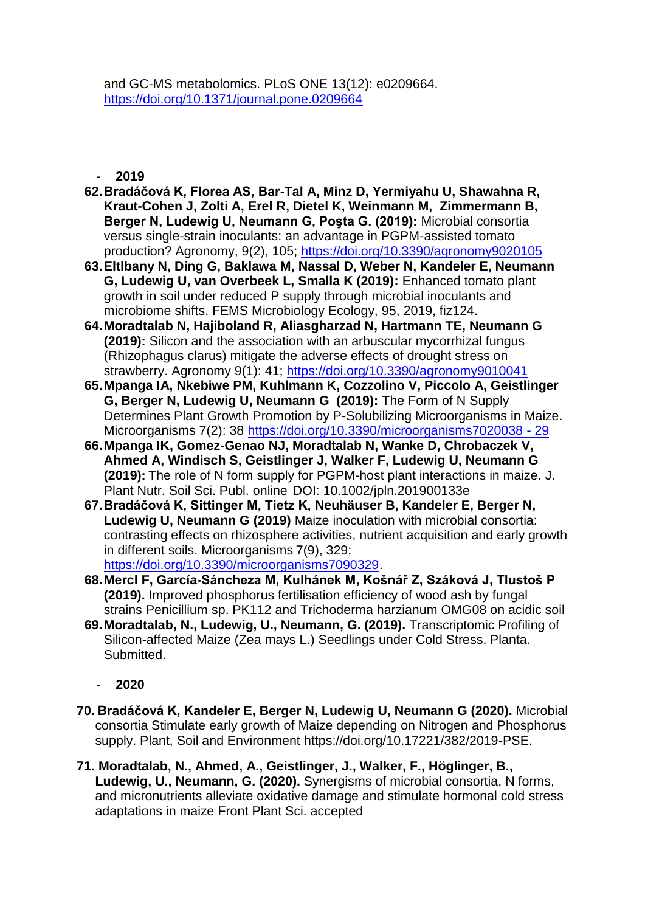and GC-MS metabolomics. PLoS ONE 13(12): e0209664. <https://doi.org/10.1371/journal.pone.0209664>

- **2019**

- **62.Bradáčová K, Florea AS, Bar-Tal A, Minz D, Yermiyahu U, Shawahna R, Kraut-Cohen J, Zolti A, Erel R, Dietel K, Weinmann M, Zimmermann B, Berger N, Ludewig U, Neumann G, Poşta G. (2019):** Microbial consortia versus single-strain inoculants: an advantage in PGPM-assisted tomato production? Agronomy, 9(2), 105;<https://doi.org/10.3390/agronomy9020105>
- **63.Eltlbany N, Ding G, Baklawa M, Nassal D, Weber N, Kandeler E, Neumann G, Ludewig U, van Overbeek L, Smalla K (2019):** Enhanced tomato plant growth in soil under reduced P supply through microbial inoculants and microbiome shifts. FEMS Microbiology Ecology, 95, 2019, fiz124.
- **64.Moradtalab N, Hajiboland R, Aliasgharzad N, Hartmann TE, Neumann G (2019):** Silicon and the association with an arbuscular mycorrhizal fungus (Rhizophagus clarus) mitigate the adverse effects of drought stress on strawberry. Agronomy 9(1): 41;<https://doi.org/10.3390/agronomy9010041>
- **65.Mpanga IA, Nkebiwe PM, Kuhlmann K, Cozzolino V, Piccolo A, Geistlinger G, Berger N, Ludewig U, Neumann G (2019):** The Form of N Supply Determines Plant Growth Promotion by P-Solubilizing Microorganisms in Maize. Microorganisms 7(2): 38 [https://doi.org/10.3390/microorganisms7020038 -](https://doi.org/10.3390/microorganisms7020038%20-%2029) 29
- **66.Mpanga IK, Gomez-Genao NJ, Moradtalab N, Wanke D, Chrobaczek V, Ahmed A, Windisch S, Geistlinger J, Walker F, Ludewig U, Neumann G (2019):** The role of N form supply for PGPM-host plant interactions in maize. J. Plant Nutr. Soil Sci. Publ. online DOI: 10.1002/jpln.201900133e
- **67.Bradáčová K, Sittinger M, Tietz K, Neuhäuser B, Kandeler E, Berger N, Ludewig U, Neumann G (2019)** Maize inoculation with microbial consortia: contrasting effects on rhizosphere activities, nutrient acquisition and early growth in different soils. Microorganisms 7(9), 329; [https://doi.org/10.3390/microorganisms7090329.](https://doi.org/10.3390/microorganisms7090329)
- **68.Mercl F, García-Sáncheza M, Kulhánek M, Košnář Z, Száková J, Tlustoš P (2019).** Improved phosphorus fertilisation efficiency of wood ash by fungal strains Penicillium sp. PK112 and Trichoderma harzianum OMG08 on acidic soil
- **69.Moradtalab, N., Ludewig, U., Neumann, G. (2019).** Transcriptomic Profiling of Silicon-affected Maize (Zea mays L.) Seedlings under Cold Stress. Planta. Submitted.

- **70. Bradáčová K, Kandeler E, Berger N, Ludewig U, Neumann G (2020).** Microbial consortia Stimulate early growth of Maize depending on Nitrogen and Phosphorus supply. Plant, Soil and Environment https://doi.org/10.17221/382/2019-PSE.
- **71. Moradtalab, N., Ahmed, A., Geistlinger, J., Walker, F., Höglinger, B., Ludewig, U., Neumann, G. (2020).** Synergisms of microbial consortia, N forms, and micronutrients alleviate oxidative damage and stimulate hormonal cold stress adaptations in maize Front Plant Sci. accepted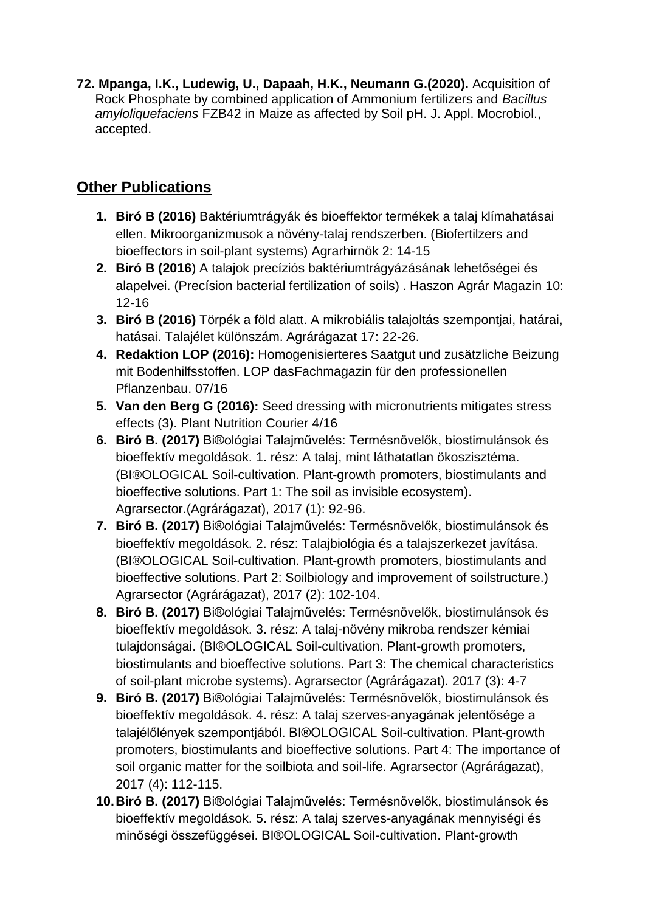**72. Mpanga, I.K., Ludewig, U., Dapaah, H.K., Neumann G.(2020).** Acquisition of Rock Phosphate by combined application of Ammonium fertilizers and *Bacillus amyloliquefaciens* FZB42 in Maize as affected by Soil pH. J. Appl. Mocrobiol., accepted.

## **Other Publications**

- **1. Biró B (2016)** Baktériumtrágyák és bioeffektor termékek a talaj klímahatásai ellen. Mikroorganizmusok a növény-talaj rendszerben. (Biofertilzers and bioeffectors in soil-plant systems) Agrarhirnök 2: 14-15
- **2. Biró B (2016**) A talajok precíziós baktériumtrágyázásának lehetőségei és alapelvei. (Precísion bacterial fertilization of soils) . Haszon Agrár Magazin 10: 12-16
- **3. Biró B (2016)** Törpék a föld alatt. A mikrobiális talajoltás szempontjai, határai, hatásai. Talajélet különszám. Agrárágazat 17: 22-26.
- **4. Redaktion LOP (2016):** Homogenisierteres Saatgut und zusätzliche Beizung mit Bodenhilfsstoffen. LOP dasFachmagazin für den professionellen Pflanzenbau. 07/16
- **5. Van den Berg G (2016):** Seed dressing with micronutrients mitigates stress effects (3). Plant Nutrition Courier 4/16
- **6. Biró B. (2017)** Bi®ológiai Talajművelés: Termésnövelők, biostimulánsok és bioeffektív megoldások. 1. rész: A talaj, mint láthatatlan ökoszisztéma. (BI®OLOGICAL Soil-cultivation. Plant-growth promoters, biostimulants and bioeffective solutions. Part 1: The soil as invisible ecosystem). Agrarsector.(Agrárágazat), 2017 (1): 92-96.
- **7. Biró B. (2017)** Bi®ológiai Talajművelés: Termésnövelők, biostimulánsok és bioeffektív megoldások. 2. rész: Talajbiológia és a talajszerkezet javítása. (BI®OLOGICAL Soil-cultivation. Plant-growth promoters, biostimulants and bioeffective solutions. Part 2: Soilbiology and improvement of soilstructure.) Agrarsector (Agrárágazat), 2017 (2): 102-104.
- **8. Biró B. (2017)** Bi®ológiai Talajművelés: Termésnövelők, biostimulánsok és bioeffektív megoldások. 3. rész: A talaj-növény mikroba rendszer kémiai tulajdonságai. (BI®OLOGICAL Soil-cultivation. Plant-growth promoters, biostimulants and bioeffective solutions. Part 3: The chemical characteristics of soil-plant microbe systems). Agrarsector (Agrárágazat). 2017 (3): 4-7
- **9. Biró B. (2017)** Bi®ológiai Talajművelés: Termésnövelők, biostimulánsok és bioeffektív megoldások. 4. rész: A talaj szerves-anyagának jelentősége a talajélőlények szempontjából. BI®OLOGICAL Soil-cultivation. Plant-growth promoters, biostimulants and bioeffective solutions. Part 4: The importance of soil organic matter for the soilbiota and soil-life. Agrarsector (Agrárágazat), 2017 (4): 112-115.
- **10.Biró B. (2017)** Bi®ológiai Talajművelés: Termésnövelők, biostimulánsok és bioeffektív megoldások. 5. rész: A talaj szerves-anyagának mennyiségi és minőségi összefüggései. BI®OLOGICAL Soil-cultivation. Plant-growth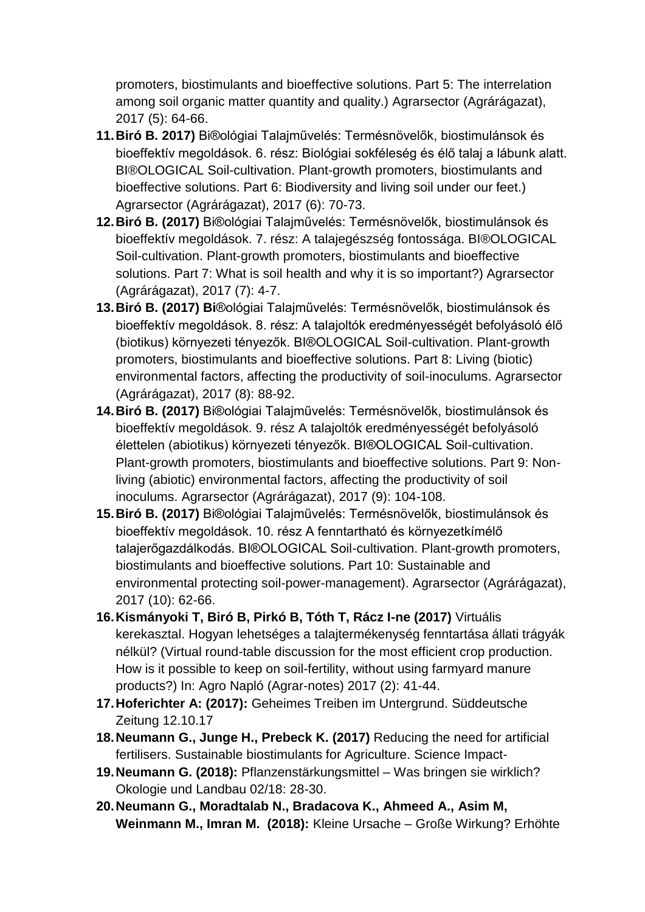promoters, biostimulants and bioeffective solutions. Part 5: The interrelation among soil organic matter quantity and quality.) Agrarsector (Agrárágazat), 2017 (5): 64-66.

- **11.Biró B. 2017)** Bi®ológiai Talajművelés: Termésnövelők, biostimulánsok és bioeffektív megoldások. 6. rész: Biológiai sokféleség és élő talaj a lábunk alatt. BI®OLOGICAL Soil-cultivation. Plant-growth promoters, biostimulants and bioeffective solutions. Part 6: Biodiversity and living soil under our feet.) Agrarsector (Agrárágazat), 2017 (6): 70-73.
- **12.Biró B. (2017)** Bi®ológiai Talajművelés: Termésnövelők, biostimulánsok és bioeffektív megoldások. 7. rész: A talajegészség fontossága. BI®OLOGICAL Soil-cultivation. Plant-growth promoters, biostimulants and bioeffective solutions. Part 7: What is soil health and why it is so important?) Agrarsector (Agrárágazat), 2017 (7): 4-7.
- **13.Biró B. (2017) Bi**®ológiai Talajművelés: Termésnövelők, biostimulánsok és bioeffektív megoldások. 8. rész: A talajoltók eredményességét befolyásoló élő (biotikus) környezeti tényezők. BI®OLOGICAL Soil-cultivation. Plant-growth promoters, biostimulants and bioeffective solutions. Part 8: Living (biotic) environmental factors, affecting the productivity of soil-inoculums. Agrarsector (Agrárágazat), 2017 (8): 88-92.
- **14.Biró B. (2017)** Bi®ológiai Talajművelés: Termésnövelők, biostimulánsok és bioeffektív megoldások. 9. rész A talajoltók eredményességét befolyásoló élettelen (abiotikus) környezeti tényezők. BI®OLOGICAL Soil-cultivation. Plant-growth promoters, biostimulants and bioeffective solutions. Part 9: Nonliving (abiotic) environmental factors, affecting the productivity of soil inoculums. Agrarsector (Agrárágazat), 2017 (9): 104-108.
- **15.Biró B. (2017)** Bi®ológiai Talajművelés: Termésnövelők, biostimulánsok és bioeffektív megoldások. 10. rész A fenntartható és környezetkímélő talajerőgazdálkodás. BI®OLOGICAL Soil-cultivation. Plant-growth promoters, biostimulants and bioeffective solutions. Part 10: Sustainable and environmental protecting soil-power-management). Agrarsector (Agrárágazat), 2017 (10): 62-66.
- **16.Kismányoki T, Biró B, Pirkó B, Tóth T, Rácz I-ne (2017)** Virtuális kerekasztal. Hogyan lehetséges a talajtermékenység fenntartása állati trágyák nélkül? (Virtual round-table discussion for the most efficient crop production. How is it possible to keep on soil-fertility, without using farmyard manure products?) In: Agro Napló (Agrar-notes) 2017 (2): 41-44.
- **17.Hoferichter A: (2017):** Geheimes Treiben im Untergrund. Süddeutsche Zeitung 12.10.17
- **18.Neumann G., Junge H., Prebeck K. (2017)** Reducing the need for artificial fertilisers. Sustainable biostimulants for Agriculture. Science Impact-
- **19.Neumann G. (2018):** Pflanzenstärkungsmittel Was bringen sie wirklich? Okologie und Landbau 02/18: 28-30.
- **20.Neumann G., Moradtalab N., Bradacova K., Ahmeed A., Asim M, Weinmann M., Imran M. (2018):** Kleine Ursache – Große Wirkung? Erhöhte